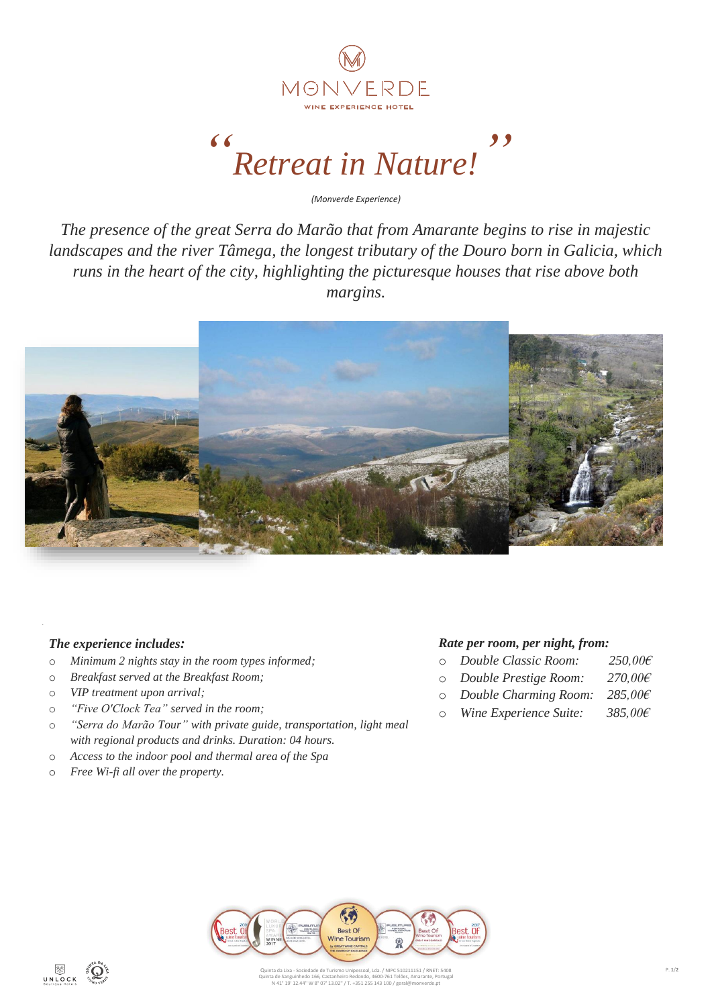

## *" Retreat in Nature! "*

*(Monverde Experience)*

*The presence of the great Serra do Marão that from Amarante begins to rise in majestic landscapes and the river Tâmega, the longest tributary of the Douro born in Galicia, which runs in the heart of the city, highlighting the picturesque houses that rise above both margins.*



## *The experience includes:*

- o *Minimum 2 nights stay in the room types informed;*
- o *Breakfast served at the Breakfast Room;*
- o *VIP treatment upon arrival;*
- o *"Five O'Clock Tea" served in the room;*
- o *"Serra do Marão Tour" with private guide, transportation, light meal with regional products and drinks. Duration: 04 hours.*
- o *Access to the indoor pool and thermal area of the Spa*
- o *Free Wi-fi all over the property.*

## *Rate per room, per night, from:*

- o *Double Classic Room: 250,00€*
- o *Double Prestige Room: 270,00€*
- o *Double Charming Room: 285,00€*
- o *Wine Experience Suite: 385,00€*